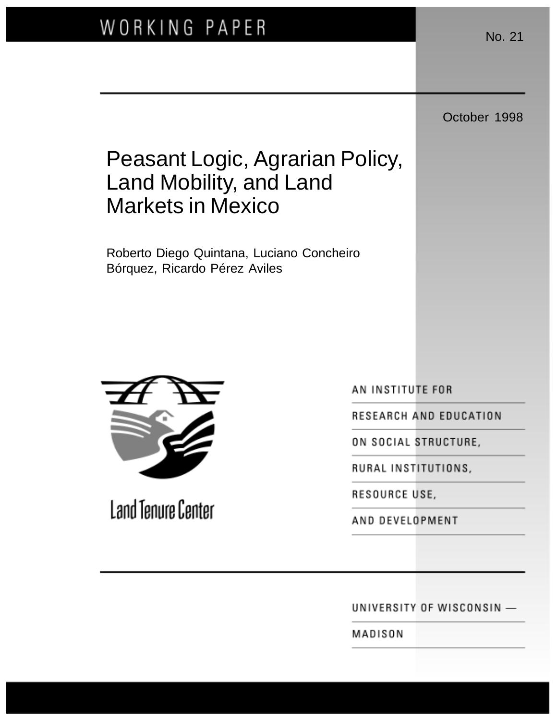October 1998

# Peasant Logic, Agrarian Policy, Land Mobility, and Land Markets in Mexico

Roberto Diego Quintana, Luciano Concheiro Bórquez, Ricardo Pérez Aviles



Land Tenure Center

AN INSTITUTE FOR

RESEARCH AND EDUCATION

ON SOCIAL STRUCTURE,

RURAL INSTITUTIONS,

RESOURCE USE,

AND DEVELOPMENT

UNIVERSITY OF WISCONSIN -

MADISON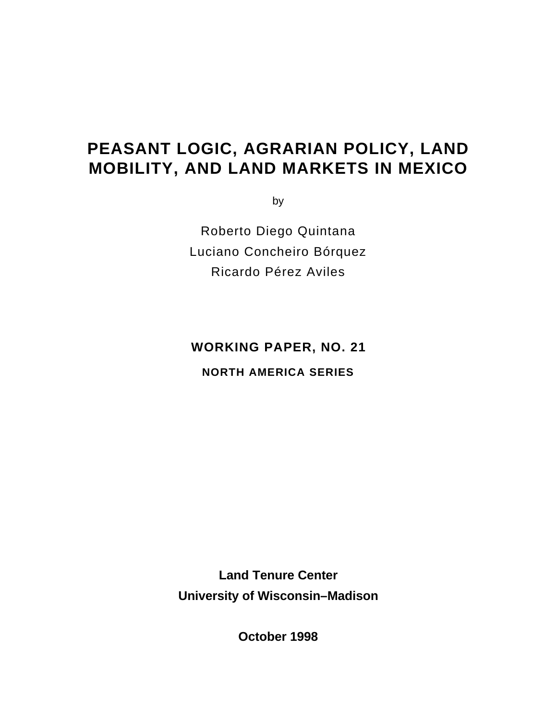# **PEASANT LOGIC, AGRARIAN POLICY, LAND MOBILITY, AND LAND MARKETS IN MEXICO**

by

Roberto Diego Quintana Luciano Concheiro Bórquez Ricardo Pérez Aviles

**WORKING PAPER, NO. 21**

**NORTH AMERICA SERIES**

**Land Tenure Center University of Wisconsin–Madison**

**October 1998**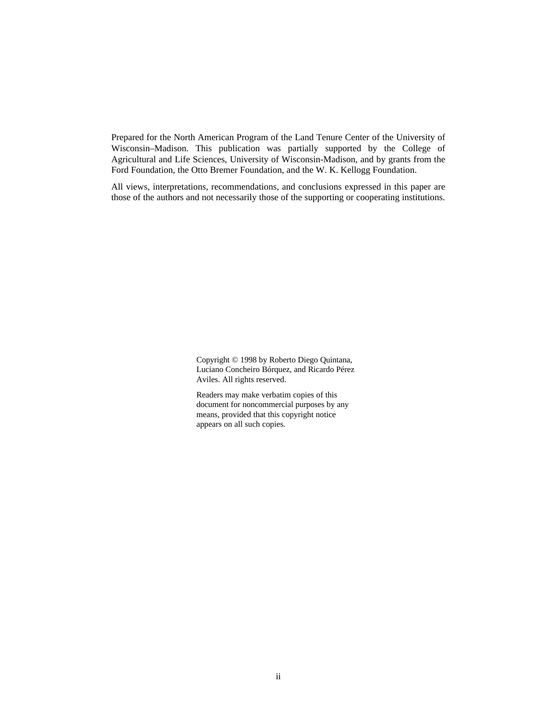Prepared for the North American Program of the Land Tenure Center of the University of Wisconsin–Madison. This publication was partially supported by the College of Agricultural and Life Sciences, University of Wisconsin-Madison, and by grants from the Ford Foundation, the Otto Bremer Foundation, and the W. K. Kellogg Foundation.

All views, interpretations, recommendations, and conclusions expressed in this paper are those of the authors and not necessarily those of the supporting or cooperating institutions.

> Copyright © 1998 by Roberto Diego Quintana, Luciano Concheiro Bórquez, and Ricardo Pérez Aviles. All rights reserved.

Readers may make verbatim copies of this document for noncommercial purposes by any means, provided that this copyright notice appears on all such copies.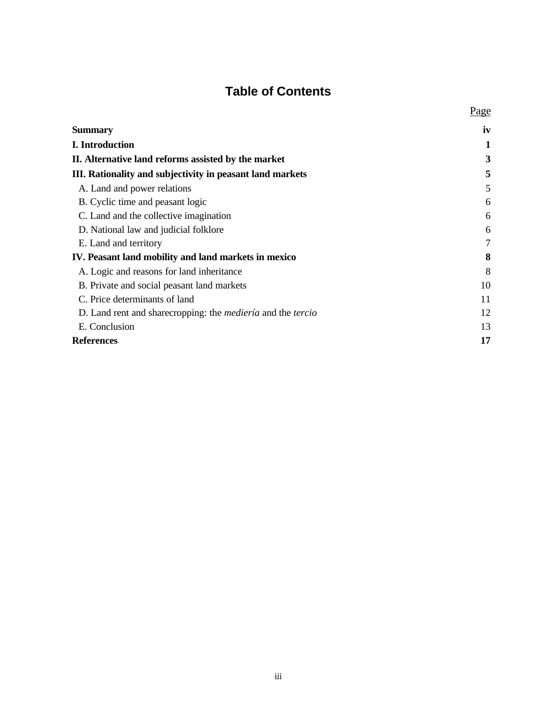# **Table of Contents**

|                                                                            | Page   |
|----------------------------------------------------------------------------|--------|
| <b>Summary</b>                                                             | iv     |
| I. Introduction                                                            | 1      |
| II. Alternative land reforms assisted by the market                        | 3      |
| III. Rationality and subjectivity in peasant land markets                  | 5      |
| A. Land and power relations                                                | 5      |
| B. Cyclic time and peasant logic                                           | 6      |
| C. Land and the collective imagination                                     | 6      |
| D. National law and judicial folklore                                      | 6      |
| E. Land and territory                                                      | $\tau$ |
| IV. Peasant land mobility and land markets in mexico                       | 8      |
| A. Logic and reasons for land inheritance                                  | 8      |
| B. Private and social peasant land markets                                 | 10     |
| C. Price determinants of land                                              | 11     |
| D. Land rent and share cropping: the <i>medieria</i> and the <i>tercio</i> | 12     |
| E. Conclusion                                                              | 13     |
| <b>References</b>                                                          | 17     |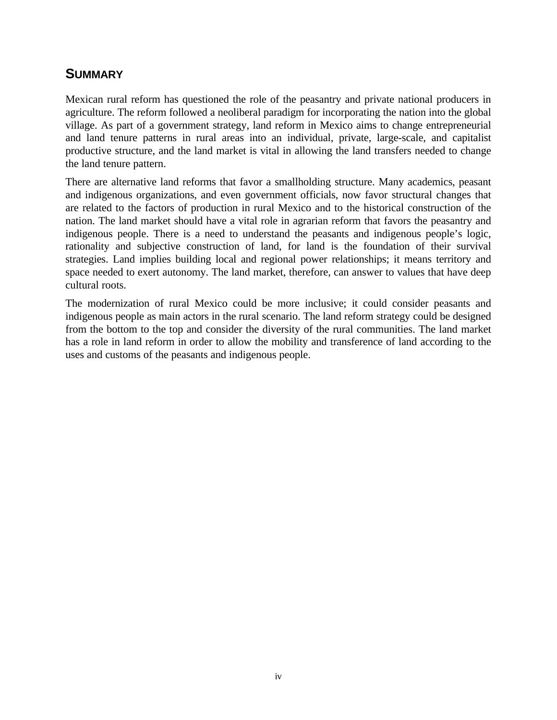#### **SUMMARY**

Mexican rural reform has questioned the role of the peasantry and private national producers in agriculture. The reform followed a neoliberal paradigm for incorporating the nation into the global village. As part of a government strategy, land reform in Mexico aims to change entrepreneurial and land tenure patterns in rural areas into an individual, private, large-scale, and capitalist productive structure, and the land market is vital in allowing the land transfers needed to change the land tenure pattern.

There are alternative land reforms that favor a smallholding structure. Many academics, peasant and indigenous organizations, and even government officials, now favor structural changes that are related to the factors of production in rural Mexico and to the historical construction of the nation. The land market should have a vital role in agrarian reform that favors the peasantry and indigenous people. There is a need to understand the peasants and indigenous people's logic, rationality and subjective construction of land, for land is the foundation of their survival strategies. Land implies building local and regional power relationships; it means territory and space needed to exert autonomy. The land market, therefore, can answer to values that have deep cultural roots.

The modernization of rural Mexico could be more inclusive; it could consider peasants and indigenous people as main actors in the rural scenario. The land reform strategy could be designed from the bottom to the top and consider the diversity of the rural communities. The land market has a role in land reform in order to allow the mobility and transference of land according to the uses and customs of the peasants and indigenous people.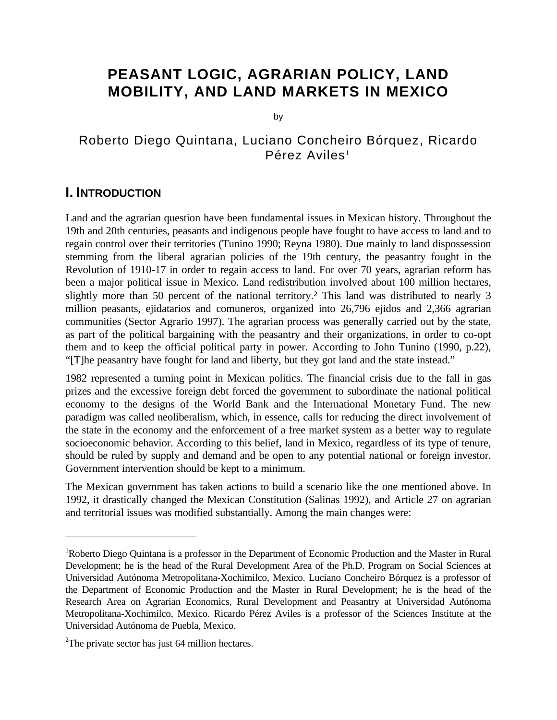# **PEASANT LOGIC, AGRARIAN POLICY, LAND MOBILITY, AND LAND MARKETS IN MEXICO**

by

#### Roberto Diego Quintana, Luciano Concheiro Bórquez, Ricardo  $Pérez$  Aviles<sup>1</sup>

#### **I. INTRODUCTION**

Land and the agrarian question have been fundamental issues in Mexican history. Throughout the 19th and 20th centuries, peasants and indigenous people have fought to have access to land and to regain control over their territories (Tunino 1990; Reyna 1980). Due mainly to land dispossession stemming from the liberal agrarian policies of the 19th century, the peasantry fought in the Revolution of 1910-17 in order to regain access to land. For over 70 years, agrarian reform has been a major political issue in Mexico. Land redistribution involved about 100 million hectares, slightly more than 50 percent of the national territory.<sup>2</sup> This land was distributed to nearly 3 million peasants, ejidatarios and comuneros, organized into 26,796 ejidos and 2,366 agrarian communities (Sector Agrario 1997). The agrarian process was generally carried out by the state, as part of the political bargaining with the peasantry and their organizations, in order to co-opt them and to keep the official political party in power. According to John Tunino (1990, p.22), "[T]he peasantry have fought for land and liberty, but they got land and the state instead."

1982 represented a turning point in Mexican politics. The financial crisis due to the fall in gas prizes and the excessive foreign debt forced the government to subordinate the national political economy to the designs of the World Bank and the International Monetary Fund. The new paradigm was called neoliberalism, which, in essence, calls for reducing the direct involvement of the state in the economy and the enforcement of a free market system as a better way to regulate socioeconomic behavior. According to this belief, land in Mexico, regardless of its type of tenure, should be ruled by supply and demand and be open to any potential national or foreign investor. Government intervention should be kept to a minimum.

The Mexican government has taken actions to build a scenario like the one mentioned above. In 1992, it drastically changed the Mexican Constitution (Salinas 1992), and Article 27 on agrarian and territorial issues was modified substantially. Among the main changes were:

<u>.</u>

<sup>1</sup>Roberto Diego Quintana is a professor in the Department of Economic Production and the Master in Rural Development; he is the head of the Rural Development Area of the Ph.D. Program on Social Sciences at Universidad Autónoma Metropolitana-Xochimilco, Mexico. Luciano Concheiro Bórquez is a professor of the Department of Economic Production and the Master in Rural Development; he is the head of the Research Area on Agrarian Economics, Rural Development and Peasantry at Universidad Autónoma Metropolitana-Xochimilco, Mexico. Ricardo Pérez Aviles is a professor of the Sciences Institute at the Universidad Autónoma de Puebla, Mexico.

 $2$ The private sector has just 64 million hectares.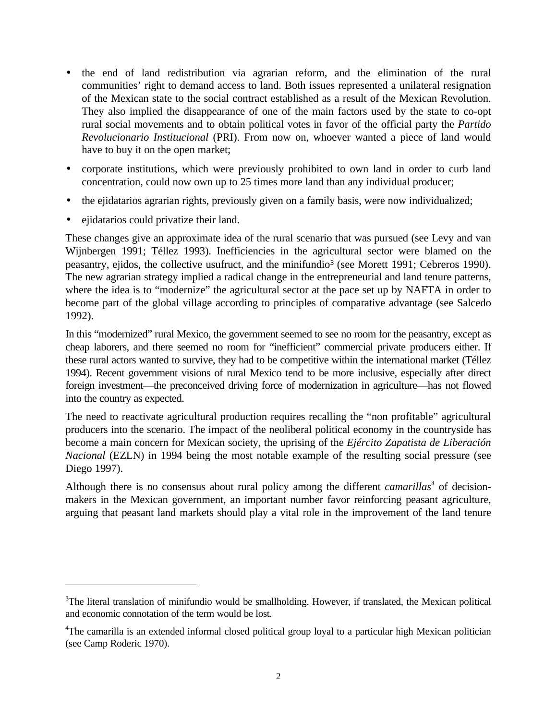- the end of land redistribution via agrarian reform, and the elimination of the rural communities' right to demand access to land. Both issues represented a unilateral resignation of the Mexican state to the social contract established as a result of the Mexican Revolution. They also implied the disappearance of one of the main factors used by the state to co-opt rural social movements and to obtain political votes in favor of the official party the *Partido Revolucionario Institucional* (PRI). From now on, whoever wanted a piece of land would have to buy it on the open market;
- corporate institutions, which were previously prohibited to own land in order to curb land concentration, could now own up to 25 times more land than any individual producer;
- the ejidatarios agrarian rights, previously given on a family basis, were now individualized;
- ejidatarios could privatize their land.

<u>.</u>

These changes give an approximate idea of the rural scenario that was pursued (see Levy and van Wijnbergen 1991; Téllez 1993). Inefficiencies in the agricultural sector were blamed on the peasantry, ejidos, the collective usufruct, and the minifundio<sup>3</sup> (see Morett 1991; Cebreros 1990). The new agrarian strategy implied a radical change in the entrepreneurial and land tenure patterns, where the idea is to "modernize" the agricultural sector at the pace set up by NAFTA in order to become part of the global village according to principles of comparative advantage (see Salcedo 1992).

In this "modernized" rural Mexico, the government seemed to see no room for the peasantry, except as cheap laborers, and there seemed no room for "inefficient" commercial private producers either. If these rural actors wanted to survive, they had to be competitive within the international market (Téllez 1994). Recent government visions of rural Mexico tend to be more inclusive, especially after direct foreign investment—the preconceived driving force of modernization in agriculture—has not flowed into the country as expected.

The need to reactivate agricultural production requires recalling the "non profitable" agricultural producers into the scenario. The impact of the neoliberal political economy in the countryside has become a main concern for Mexican society, the uprising of the *Ejército Zapatista de Liberación Nacional* (EZLN) in 1994 being the most notable example of the resulting social pressure (see Diego 1997).

Although there is no consensus about rural policy among the different *camarillas<sup>4</sup>* of decisionmakers in the Mexican government, an important number favor reinforcing peasant agriculture, arguing that peasant land markets should play a vital role in the improvement of the land tenure

<sup>&</sup>lt;sup>3</sup>The literal translation of minifundio would be smallholding. However, if translated, the Mexican political and economic connotation of the term would be lost.

<sup>4</sup>The camarilla is an extended informal closed political group loyal to a particular high Mexican politician (see Camp Roderic 1970).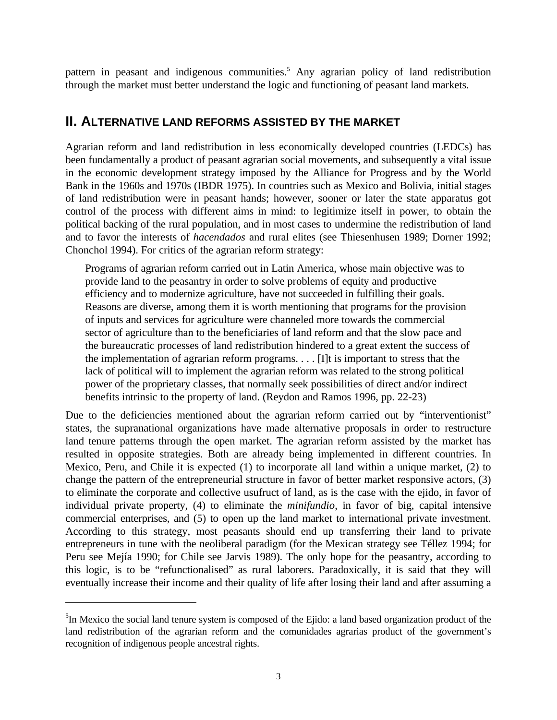pattern in peasant and indigenous communities.<sup>5</sup> Any agrarian policy of land redistribution through the market must better understand the logic and functioning of peasant land markets.

#### **II. ALTERNATIVE LAND REFORMS ASSISTED BY THE MARKET**

Agrarian reform and land redistribution in less economically developed countries (LEDCs) has been fundamentally a product of peasant agrarian social movements, and subsequently a vital issue in the economic development strategy imposed by the Alliance for Progress and by the World Bank in the 1960s and 1970s (IBDR 1975). In countries such as Mexico and Bolivia, initial stages of land redistribution were in peasant hands; however, sooner or later the state apparatus got control of the process with different aims in mind: to legitimize itself in power, to obtain the political backing of the rural population, and in most cases to undermine the redistribution of land and to favor the interests of *hacendados* and rural elites (see Thiesenhusen 1989; Dorner 1992; Chonchol 1994). For critics of the agrarian reform strategy:

Programs of agrarian reform carried out in Latin America, whose main objective was to provide land to the peasantry in order to solve problems of equity and productive efficiency and to modernize agriculture, have not succeeded in fulfilling their goals. Reasons are diverse, among them it is worth mentioning that programs for the provision of inputs and services for agriculture were channeled more towards the commercial sector of agriculture than to the beneficiaries of land reform and that the slow pace and the bureaucratic processes of land redistribution hindered to a great extent the success of the implementation of agrarian reform programs. . . . [I]t is important to stress that the lack of political will to implement the agrarian reform was related to the strong political power of the proprietary classes, that normally seek possibilities of direct and/or indirect benefits intrinsic to the property of land. (Reydon and Ramos 1996, pp. 22-23)

Due to the deficiencies mentioned about the agrarian reform carried out by "interventionist" states, the supranational organizations have made alternative proposals in order to restructure land tenure patterns through the open market. The agrarian reform assisted by the market has resulted in opposite strategies. Both are already being implemented in different countries. In Mexico, Peru, and Chile it is expected (1) to incorporate all land within a unique market, (2) to change the pattern of the entrepreneurial structure in favor of better market responsive actors, (3) to eliminate the corporate and collective usufruct of land, as is the case with the ejido, in favor of individual private property, (4) to eliminate the *minifundio*, in favor of big, capital intensive commercial enterprises, and (5) to open up the land market to international private investment. According to this strategy, most peasants should end up transferring their land to private entrepreneurs in tune with the neoliberal paradigm (for the Mexican strategy see Téllez 1994; for Peru see Mejía 1990; for Chile see Jarvis 1989). The only hope for the peasantry, according to this logic, is to be "refunctionalised" as rural laborers. Paradoxically, it is said that they will eventually increase their income and their quality of life after losing their land and after assuming a

<u>.</u>

<sup>&</sup>lt;sup>5</sup>In Mexico the social land tenure system is composed of the Ejido: a land based organization product of the land redistribution of the agrarian reform and the comunidades agrarias product of the government's recognition of indigenous people ancestral rights.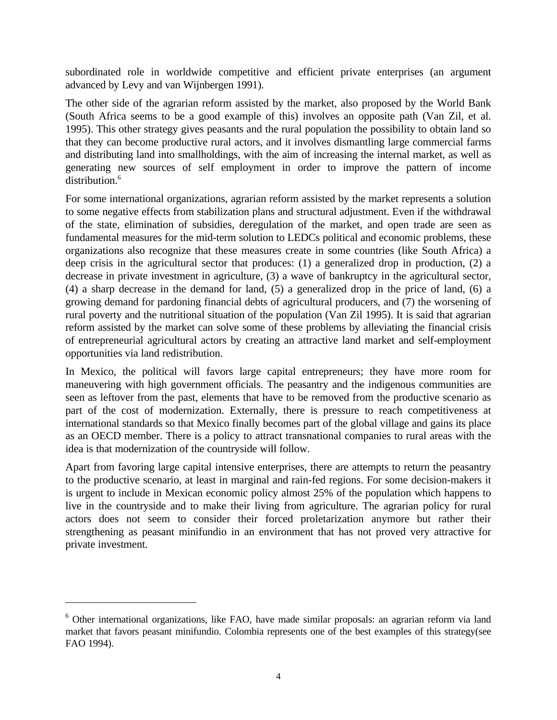subordinated role in worldwide competitive and efficient private enterprises (an argument advanced by Levy and van Wijnbergen 1991).

The other side of the agrarian reform assisted by the market, also proposed by the World Bank (South Africa seems to be a good example of this) involves an opposite path (Van Zil, et al. 1995). This other strategy gives peasants and the rural population the possibility to obtain land so that they can become productive rural actors, and it involves dismantling large commercial farms and distributing land into smallholdings, with the aim of increasing the internal market, as well as generating new sources of self employment in order to improve the pattern of income distribution.<sup>6</sup>

For some international organizations, agrarian reform assisted by the market represents a solution to some negative effects from stabilization plans and structural adjustment. Even if the withdrawal of the state, elimination of subsidies, deregulation of the market, and open trade are seen as fundamental measures for the mid-term solution to LEDCs political and economic problems, these organizations also recognize that these measures create in some countries (like South Africa) a deep crisis in the agricultural sector that produces: (1) a generalized drop in production, (2) a decrease in private investment in agriculture, (3) a wave of bankruptcy in the agricultural sector, (4) a sharp decrease in the demand for land, (5) a generalized drop in the price of land, (6) a growing demand for pardoning financial debts of agricultural producers, and (7) the worsening of rural poverty and the nutritional situation of the population (Van Zil 1995). It is said that agrarian reform assisted by the market can solve some of these problems by alleviating the financial crisis of entrepreneurial agricultural actors by creating an attractive land market and self-employment opportunities via land redistribution.

In Mexico, the political will favors large capital entrepreneurs; they have more room for maneuvering with high government officials. The peasantry and the indigenous communities are seen as leftover from the past, elements that have to be removed from the productive scenario as part of the cost of modernization. Externally, there is pressure to reach competitiveness at international standards so that Mexico finally becomes part of the global village and gains its place as an OECD member. There is a policy to attract transnational companies to rural areas with the idea is that modernization of the countryside will follow.

Apart from favoring large capital intensive enterprises, there are attempts to return the peasantry to the productive scenario, at least in marginal and rain-fed regions. For some decision-makers it is urgent to include in Mexican economic policy almost 25% of the population which happens to live in the countryside and to make their living from agriculture. The agrarian policy for rural actors does not seem to consider their forced proletarization anymore but rather their strengthening as peasant minifundio in an environment that has not proved very attractive for private investment.

 $\overline{a}$ 

<sup>&</sup>lt;sup>6</sup> Other international organizations, like FAO, have made similar proposals: an agrarian reform via land market that favors peasant minifundio. Colombia represents one of the best examples of this strategy(see FAO 1994).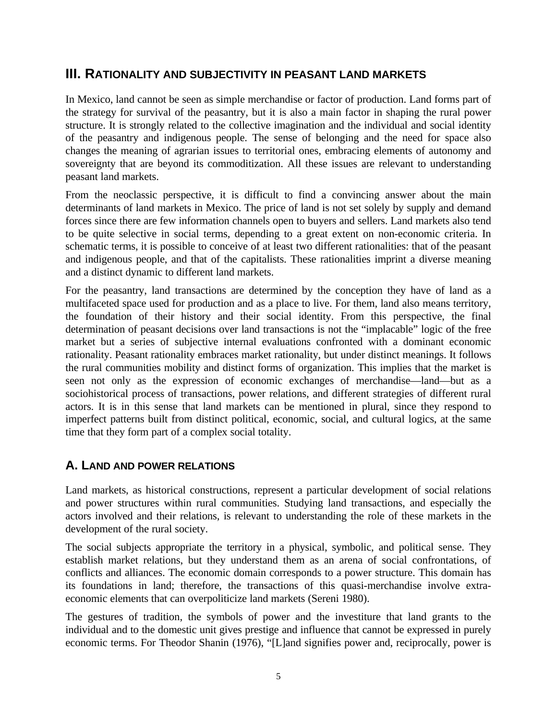#### **III. RATIONALITY AND SUBJECTIVITY IN PEASANT LAND MARKETS**

In Mexico, land cannot be seen as simple merchandise or factor of production. Land forms part of the strategy for survival of the peasantry, but it is also a main factor in shaping the rural power structure. It is strongly related to the collective imagination and the individual and social identity of the peasantry and indigenous people. The sense of belonging and the need for space also changes the meaning of agrarian issues to territorial ones, embracing elements of autonomy and sovereignty that are beyond its commoditization. All these issues are relevant to understanding peasant land markets.

From the neoclassic perspective, it is difficult to find a convincing answer about the main determinants of land markets in Mexico. The price of land is not set solely by supply and demand forces since there are few information channels open to buyers and sellers. Land markets also tend to be quite selective in social terms, depending to a great extent on non-economic criteria. In schematic terms, it is possible to conceive of at least two different rationalities: that of the peasant and indigenous people, and that of the capitalists. These rationalities imprint a diverse meaning and a distinct dynamic to different land markets.

For the peasantry, land transactions are determined by the conception they have of land as a multifaceted space used for production and as a place to live. For them, land also means territory, the foundation of their history and their social identity. From this perspective, the final determination of peasant decisions over land transactions is not the "implacable" logic of the free market but a series of subjective internal evaluations confronted with a dominant economic rationality. Peasant rationality embraces market rationality, but under distinct meanings. It follows the rural communities mobility and distinct forms of organization. This implies that the market is seen not only as the expression of economic exchanges of merchandise—land—but as a sociohistorical process of transactions, power relations, and different strategies of different rural actors. It is in this sense that land markets can be mentioned in plural, since they respond to imperfect patterns built from distinct political, economic, social, and cultural logics, at the same time that they form part of a complex social totality.

#### **A. LAND AND POWER RELATIONS**

Land markets, as historical constructions, represent a particular development of social relations and power structures within rural communities. Studying land transactions, and especially the actors involved and their relations, is relevant to understanding the role of these markets in the development of the rural society.

The social subjects appropriate the territory in a physical, symbolic, and political sense. They establish market relations, but they understand them as an arena of social confrontations, of conflicts and alliances. The economic domain corresponds to a power structure. This domain has its foundations in land; therefore, the transactions of this quasi-merchandise involve extraeconomic elements that can overpoliticize land markets (Sereni 1980).

The gestures of tradition, the symbols of power and the investiture that land grants to the individual and to the domestic unit gives prestige and influence that cannot be expressed in purely economic terms. For Theodor Shanin (1976), "[L]and signifies power and, reciprocally, power is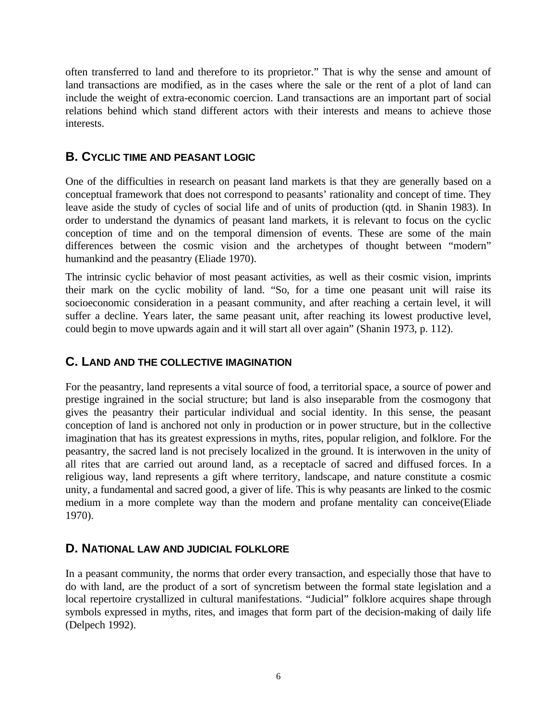often transferred to land and therefore to its proprietor." That is why the sense and amount of land transactions are modified, as in the cases where the sale or the rent of a plot of land can include the weight of extra-economic coercion. Land transactions are an important part of social relations behind which stand different actors with their interests and means to achieve those interests.

#### **B. CYCLIC TIME AND PEASANT LOGIC**

One of the difficulties in research on peasant land markets is that they are generally based on a conceptual framework that does not correspond to peasants' rationality and concept of time. They leave aside the study of cycles of social life and of units of production (qtd. in Shanin 1983). In order to understand the dynamics of peasant land markets, it is relevant to focus on the cyclic conception of time and on the temporal dimension of events. These are some of the main differences between the cosmic vision and the archetypes of thought between "modern" humankind and the peasantry (Eliade 1970).

The intrinsic cyclic behavior of most peasant activities, as well as their cosmic vision, imprints their mark on the cyclic mobility of land. "So, for a time one peasant unit will raise its socioeconomic consideration in a peasant community, and after reaching a certain level, it will suffer a decline. Years later, the same peasant unit, after reaching its lowest productive level, could begin to move upwards again and it will start all over again" (Shanin 1973, p. 112).

#### **C. LAND AND THE COLLECTIVE IMAGINATION**

For the peasantry, land represents a vital source of food, a territorial space, a source of power and prestige ingrained in the social structure; but land is also inseparable from the cosmogony that gives the peasantry their particular individual and social identity. In this sense, the peasant conception of land is anchored not only in production or in power structure, but in the collective imagination that has its greatest expressions in myths, rites, popular religion, and folklore. For the peasantry, the sacred land is not precisely localized in the ground. It is interwoven in the unity of all rites that are carried out around land, as a receptacle of sacred and diffused forces. In a religious way, land represents a gift where territory, landscape, and nature constitute a cosmic unity, a fundamental and sacred good, a giver of life. This is why peasants are linked to the cosmic medium in a more complete way than the modern and profane mentality can conceive(Eliade 1970).

#### **D. NATIONAL LAW AND JUDICIAL FOLKLORE**

In a peasant community, the norms that order every transaction, and especially those that have to do with land, are the product of a sort of syncretism between the formal state legislation and a local repertoire crystallized in cultural manifestations. "Judicial" folklore acquires shape through symbols expressed in myths, rites, and images that form part of the decision-making of daily life (Delpech 1992).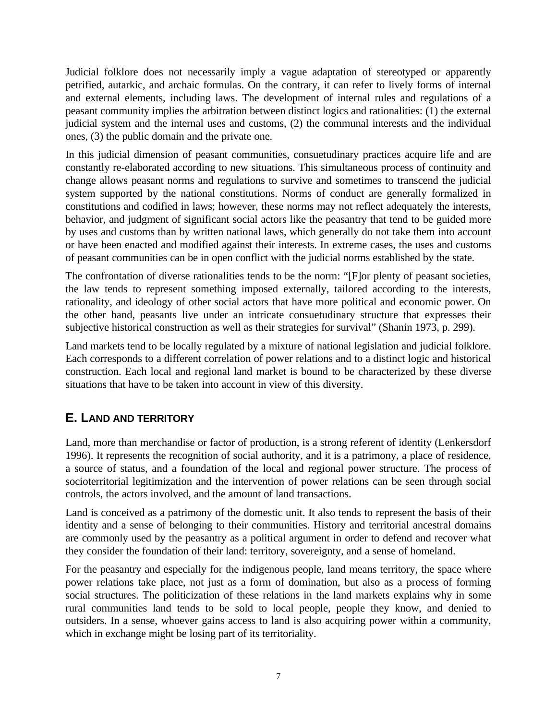Judicial folklore does not necessarily imply a vague adaptation of stereotyped or apparently petrified, autarkic, and archaic formulas. On the contrary, it can refer to lively forms of internal and external elements, including laws. The development of internal rules and regulations of a peasant community implies the arbitration between distinct logics and rationalities: (1) the external judicial system and the internal uses and customs, (2) the communal interests and the individual ones, (3) the public domain and the private one.

In this judicial dimension of peasant communities, consuetudinary practices acquire life and are constantly re-elaborated according to new situations. This simultaneous process of continuity and change allows peasant norms and regulations to survive and sometimes to transcend the judicial system supported by the national constitutions. Norms of conduct are generally formalized in constitutions and codified in laws; however, these norms may not reflect adequately the interests, behavior, and judgment of significant social actors like the peasantry that tend to be guided more by uses and customs than by written national laws, which generally do not take them into account or have been enacted and modified against their interests. In extreme cases, the uses and customs of peasant communities can be in open conflict with the judicial norms established by the state.

The confrontation of diverse rationalities tends to be the norm: "[F]or plenty of peasant societies, the law tends to represent something imposed externally, tailored according to the interests, rationality, and ideology of other social actors that have more political and economic power. On the other hand, peasants live under an intricate consuetudinary structure that expresses their subjective historical construction as well as their strategies for survival" (Shanin 1973, p. 299).

Land markets tend to be locally regulated by a mixture of national legislation and judicial folklore. Each corresponds to a different correlation of power relations and to a distinct logic and historical construction. Each local and regional land market is bound to be characterized by these diverse situations that have to be taken into account in view of this diversity.

### **E. LAND AND TERRITORY**

Land, more than merchandise or factor of production, is a strong referent of identity (Lenkersdorf 1996). It represents the recognition of social authority, and it is a patrimony, a place of residence, a source of status, and a foundation of the local and regional power structure. The process of socioterritorial legitimization and the intervention of power relations can be seen through social controls, the actors involved, and the amount of land transactions.

Land is conceived as a patrimony of the domestic unit. It also tends to represent the basis of their identity and a sense of belonging to their communities. History and territorial ancestral domains are commonly used by the peasantry as a political argument in order to defend and recover what they consider the foundation of their land: territory, sovereignty, and a sense of homeland.

For the peasantry and especially for the indigenous people, land means territory, the space where power relations take place, not just as a form of domination, but also as a process of forming social structures. The politicization of these relations in the land markets explains why in some rural communities land tends to be sold to local people, people they know, and denied to outsiders. In a sense, whoever gains access to land is also acquiring power within a community, which in exchange might be losing part of its territoriality.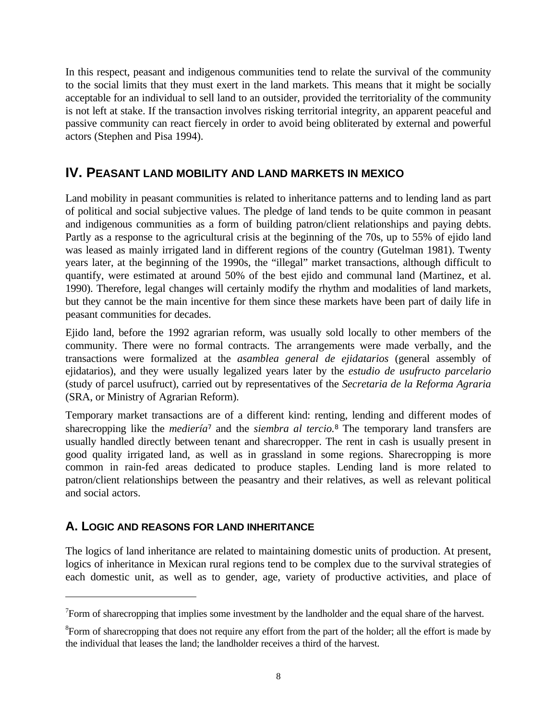In this respect, peasant and indigenous communities tend to relate the survival of the community to the social limits that they must exert in the land markets. This means that it might be socially acceptable for an individual to sell land to an outsider, provided the territoriality of the community is not left at stake. If the transaction involves risking territorial integrity, an apparent peaceful and passive community can react fiercely in order to avoid being obliterated by external and powerful actors (Stephen and Pisa 1994).

#### **IV. PEASANT LAND MOBILITY AND LAND MARKETS IN MEXICO**

Land mobility in peasant communities is related to inheritance patterns and to lending land as part of political and social subjective values. The pledge of land tends to be quite common in peasant and indigenous communities as a form of building patron/client relationships and paying debts. Partly as a response to the agricultural crisis at the beginning of the 70s, up to 55% of ejido land was leased as mainly irrigated land in different regions of the country (Gutelman 1981). Twenty years later, at the beginning of the 1990s, the "illegal" market transactions, although difficult to quantify, were estimated at around 50% of the best ejido and communal land (Martinez, et al. 1990). Therefore, legal changes will certainly modify the rhythm and modalities of land markets, but they cannot be the main incentive for them since these markets have been part of daily life in peasant communities for decades.

Ejido land, before the 1992 agrarian reform, was usually sold locally to other members of the community. There were no formal contracts. The arrangements were made verbally, and the transactions were formalized at the *asamblea general de ejidatarios* (general assembly of ejidatarios), and they were usually legalized years later by the *estudio de usufructo parcelario* (study of parcel usufruct), carried out by representatives of the *Secretaria de la Reforma Agraria* (SRA, or Ministry of Agrarian Reform).

Temporary market transactions are of a different kind: renting, lending and different modes of sharecropping like the *mediería<sup>7</sup>* and the *siembra al tercio.*<sup>8</sup> The temporary land transfers are usually handled directly between tenant and sharecropper. The rent in cash is usually present in good quality irrigated land, as well as in grassland in some regions. Sharecropping is more common in rain-fed areas dedicated to produce staples. Lending land is more related to patron/client relationships between the peasantry and their relatives, as well as relevant political and social actors.

#### **A. LOGIC AND REASONS FOR LAND INHERITANCE**

 $\overline{a}$ 

The logics of land inheritance are related to maintaining domestic units of production. At present, logics of inheritance in Mexican rural regions tend to be complex due to the survival strategies of each domestic unit, as well as to gender, age, variety of productive activities, and place of

 $7$ Form of sharecropping that implies some investment by the landholder and the equal share of the harvest.

<sup>&</sup>lt;sup>8</sup> Form of sharecropping that does not require any effort from the part of the holder; all the effort is made by the individual that leases the land; the landholder receives a third of the harvest.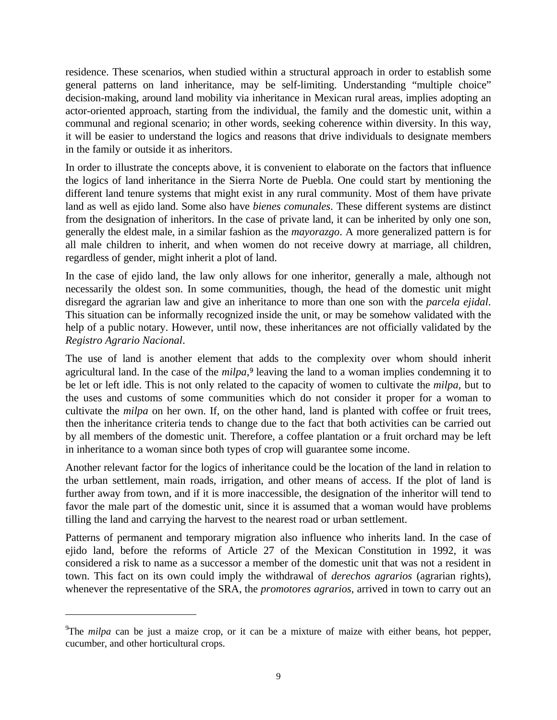residence. These scenarios, when studied within a structural approach in order to establish some general patterns on land inheritance, may be self-limiting. Understanding "multiple choice" decision-making, around land mobility via inheritance in Mexican rural areas, implies adopting an actor-oriented approach, starting from the individual, the family and the domestic unit, within a communal and regional scenario; in other words, seeking coherence within diversity. In this way, it will be easier to understand the logics and reasons that drive individuals to designate members in the family or outside it as inheritors.

In order to illustrate the concepts above, it is convenient to elaborate on the factors that influence the logics of land inheritance in the Sierra Norte de Puebla. One could start by mentioning the different land tenure systems that might exist in any rural community. Most of them have private land as well as ejido land. Some also have *bienes comunales*. These different systems are distinct from the designation of inheritors. In the case of private land, it can be inherited by only one son, generally the eldest male, in a similar fashion as the *mayorazgo*. A more generalized pattern is for all male children to inherit, and when women do not receive dowry at marriage, all children, regardless of gender, might inherit a plot of land.

In the case of ejido land, the law only allows for one inheritor, generally a male, although not necessarily the oldest son. In some communities, though, the head of the domestic unit might disregard the agrarian law and give an inheritance to more than one son with the *parcela ejidal*. This situation can be informally recognized inside the unit, or may be somehow validated with the help of a public notary. However, until now, these inheritances are not officially validated by the *Registro Agrario Nacional*.

The use of land is another element that adds to the complexity over whom should inherit agricultural land. In the case of the *milpa*,<sup>9</sup> leaving the land to a woman implies condemning it to be let or left idle. This is not only related to the capacity of women to cultivate the *milpa,* but to the uses and customs of some communities which do not consider it proper for a woman to cultivate the *milpa* on her own. If, on the other hand, land is planted with coffee or fruit trees, then the inheritance criteria tends to change due to the fact that both activities can be carried out by all members of the domestic unit. Therefore, a coffee plantation or a fruit orchard may be left in inheritance to a woman since both types of crop will guarantee some income.

Another relevant factor for the logics of inheritance could be the location of the land in relation to the urban settlement, main roads, irrigation, and other means of access. If the plot of land is further away from town, and if it is more inaccessible, the designation of the inheritor will tend to favor the male part of the domestic unit, since it is assumed that a woman would have problems tilling the land and carrying the harvest to the nearest road or urban settlement.

Patterns of permanent and temporary migration also influence who inherits land. In the case of ejido land, before the reforms of Article 27 of the Mexican Constitution in 1992, it was considered a risk to name as a successor a member of the domestic unit that was not a resident in town. This fact on its own could imply the withdrawal of *derechos agrarios* (agrarian rights), whenever the representative of the SRA, the *promotores agrarios,* arrived in town to carry out an

 $\overline{a}$ 

<sup>9</sup>The *milpa* can be just a maize crop, or it can be a mixture of maize with either beans, hot pepper, cucumber, and other horticultural crops.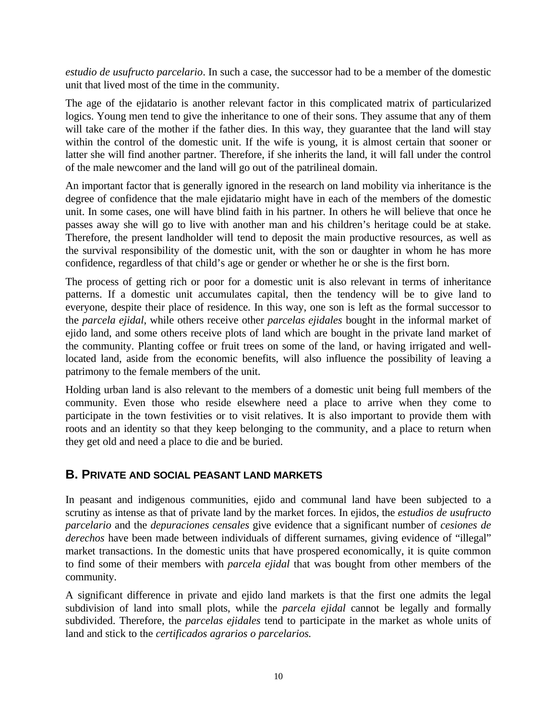*estudio de usufructo parcelario*. In such a case, the successor had to be a member of the domestic unit that lived most of the time in the community.

The age of the ejidatario is another relevant factor in this complicated matrix of particularized logics. Young men tend to give the inheritance to one of their sons. They assume that any of them will take care of the mother if the father dies. In this way, they guarantee that the land will stay within the control of the domestic unit. If the wife is young, it is almost certain that sooner or latter she will find another partner. Therefore, if she inherits the land, it will fall under the control of the male newcomer and the land will go out of the patrilineal domain.

An important factor that is generally ignored in the research on land mobility via inheritance is the degree of confidence that the male ejidatario might have in each of the members of the domestic unit. In some cases, one will have blind faith in his partner. In others he will believe that once he passes away she will go to live with another man and his children's heritage could be at stake. Therefore, the present landholder will tend to deposit the main productive resources, as well as the survival responsibility of the domestic unit, with the son or daughter in whom he has more confidence, regardless of that child's age or gender or whether he or she is the first born.

The process of getting rich or poor for a domestic unit is also relevant in terms of inheritance patterns. If a domestic unit accumulates capital, then the tendency will be to give land to everyone, despite their place of residence. In this way, one son is left as the formal successor to the *parcela ejidal*, while others receive other *parcelas ejidales* bought in the informal market of ejido land, and some others receive plots of land which are bought in the private land market of the community. Planting coffee or fruit trees on some of the land, or having irrigated and welllocated land, aside from the economic benefits, will also influence the possibility of leaving a patrimony to the female members of the unit.

Holding urban land is also relevant to the members of a domestic unit being full members of the community. Even those who reside elsewhere need a place to arrive when they come to participate in the town festivities or to visit relatives. It is also important to provide them with roots and an identity so that they keep belonging to the community, and a place to return when they get old and need a place to die and be buried.

#### **B. PRIVATE AND SOCIAL PEASANT LAND MARKETS**

In peasant and indigenous communities, ejido and communal land have been subjected to a scrutiny as intense as that of private land by the market forces. In ejidos, the *estudios de usufructo parcelario* and the *depuraciones censales* give evidence that a significant number of *cesiones de derechos* have been made between individuals of different surnames, giving evidence of "illegal" market transactions. In the domestic units that have prospered economically, it is quite common to find some of their members with *parcela ejidal* that was bought from other members of the community.

A significant difference in private and ejido land markets is that the first one admits the legal subdivision of land into small plots, while the *parcela ejidal* cannot be legally and formally subdivided. Therefore, the *parcelas ejidales* tend to participate in the market as whole units of land and stick to the *certificados agrarios o parcelarios.*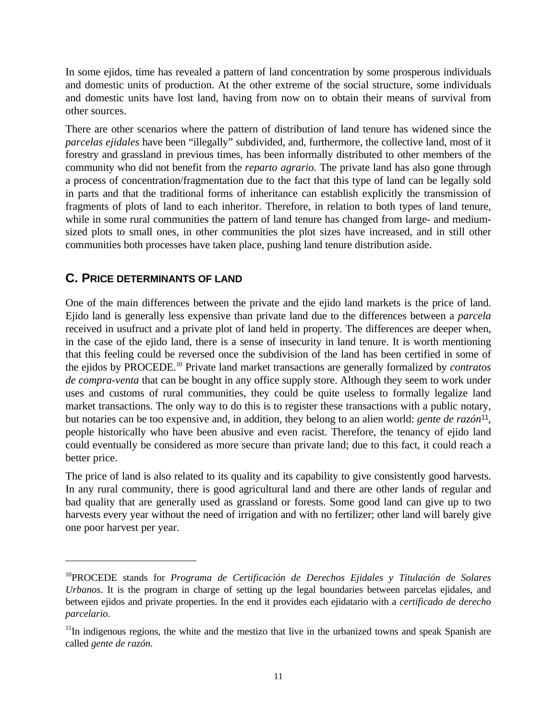In some ejidos, time has revealed a pattern of land concentration by some prosperous individuals and domestic units of production. At the other extreme of the social structure, some individuals and domestic units have lost land, having from now on to obtain their means of survival from other sources.

There are other scenarios where the pattern of distribution of land tenure has widened since the *parcelas ejidales* have been "illegally" subdivided, and, furthermore, the collective land, most of it forestry and grassland in previous times, has been informally distributed to other members of the community who did not benefit from the *reparto agrario*. The private land has also gone through a process of concentration/fragmentation due to the fact that this type of land can be legally sold in parts and that the traditional forms of inheritance can establish explicitly the transmission of fragments of plots of land to each inheritor. Therefore, in relation to both types of land tenure, while in some rural communities the pattern of land tenure has changed from large- and mediumsized plots to small ones, in other communities the plot sizes have increased, and in still other communities both processes have taken place, pushing land tenure distribution aside.

#### **C. PRICE DETERMINANTS OF LAND**

 $\overline{a}$ 

One of the main differences between the private and the ejido land markets is the price of land. Ejido land is generally less expensive than private land due to the differences between a *parcela* received in usufruct and a private plot of land held in property. The differences are deeper when, in the case of the ejido land, there is a sense of insecurity in land tenure. It is worth mentioning that this feeling could be reversed once the subdivision of the land has been certified in some of the ejidos by PROCEDE.<sup>10</sup> Private land market transactions are generally formalized by *contratos de compra-venta* that can be bought in any office supply store. Although they seem to work under uses and customs of rural communities, they could be quite useless to formally legalize land market transactions. The only way to do this is to register these transactions with a public notary, but notaries can be too expensive and, in addition, they belong to an alien world: *gente de razón<sup>11</sup> ,* people historically who have been abusive and even racist. Therefore, the tenancy of ejido land could eventually be considered as more secure than private land; due to this fact, it could reach a better price.

The price of land is also related to its quality and its capability to give consistently good harvests. In any rural community, there is good agricultural land and there are other lands of regular and bad quality that are generally used as grassland or forests. Some good land can give up to two harvests every year without the need of irrigation and with no fertilizer; other land will barely give one poor harvest per year.

<sup>10</sup>PROCEDE stands for *Programa de Certificación de Derechos Ejidales y Titulación de Solares Urbanos*. It is the program in charge of setting up the legal boundaries between parcelas ejidales, and between ejidos and private properties. In the end it provides each ejidatario with a *certificado de derecho parcelario*.

 $11$ In indigenous regions, the white and the mestizo that live in the urbanized towns and speak Spanish are called *gente de razón*.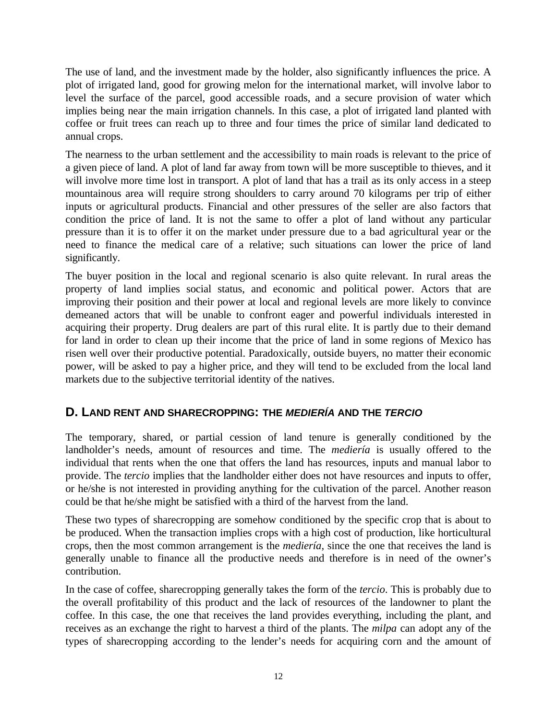The use of land, and the investment made by the holder, also significantly influences the price. A plot of irrigated land, good for growing melon for the international market, will involve labor to level the surface of the parcel, good accessible roads, and a secure provision of water which implies being near the main irrigation channels. In this case, a plot of irrigated land planted with coffee or fruit trees can reach up to three and four times the price of similar land dedicated to annual crops.

The nearness to the urban settlement and the accessibility to main roads is relevant to the price of a given piece of land. A plot of land far away from town will be more susceptible to thieves, and it will involve more time lost in transport. A plot of land that has a trail as its only access in a steep mountainous area will require strong shoulders to carry around 70 kilograms per trip of either inputs or agricultural products. Financial and other pressures of the seller are also factors that condition the price of land. It is not the same to offer a plot of land without any particular pressure than it is to offer it on the market under pressure due to a bad agricultural year or the need to finance the medical care of a relative; such situations can lower the price of land significantly.

The buyer position in the local and regional scenario is also quite relevant. In rural areas the property of land implies social status, and economic and political power. Actors that are improving their position and their power at local and regional levels are more likely to convince demeaned actors that will be unable to confront eager and powerful individuals interested in acquiring their property. Drug dealers are part of this rural elite. It is partly due to their demand for land in order to clean up their income that the price of land in some regions of Mexico has risen well over their productive potential. Paradoxically, outside buyers, no matter their economic power, will be asked to pay a higher price, and they will tend to be excluded from the local land markets due to the subjective territorial identity of the natives.

#### **D. LAND RENT AND SHARECROPPING: THE** *MEDIERÍA* **AND THE** *TERCIO*

The temporary, shared, or partial cession of land tenure is generally conditioned by the landholder's needs, amount of resources and time. The *mediería* is usually offered to the individual that rents when the one that offers the land has resources, inputs and manual labor to provide. The *tercio* implies that the landholder either does not have resources and inputs to offer, or he/she is not interested in providing anything for the cultivation of the parcel. Another reason could be that he/she might be satisfied with a third of the harvest from the land.

These two types of sharecropping are somehow conditioned by the specific crop that is about to be produced. When the transaction implies crops with a high cost of production, like horticultural crops, then the most common arrangement is the *mediería*, since the one that receives the land is generally unable to finance all the productive needs and therefore is in need of the owner's contribution.

In the case of coffee, sharecropping generally takes the form of the *tercio*. This is probably due to the overall profitability of this product and the lack of resources of the landowner to plant the coffee. In this case, the one that receives the land provides everything, including the plant, and receives as an exchange the right to harvest a third of the plants. The *milpa* can adopt any of the types of sharecropping according to the lender's needs for acquiring corn and the amount of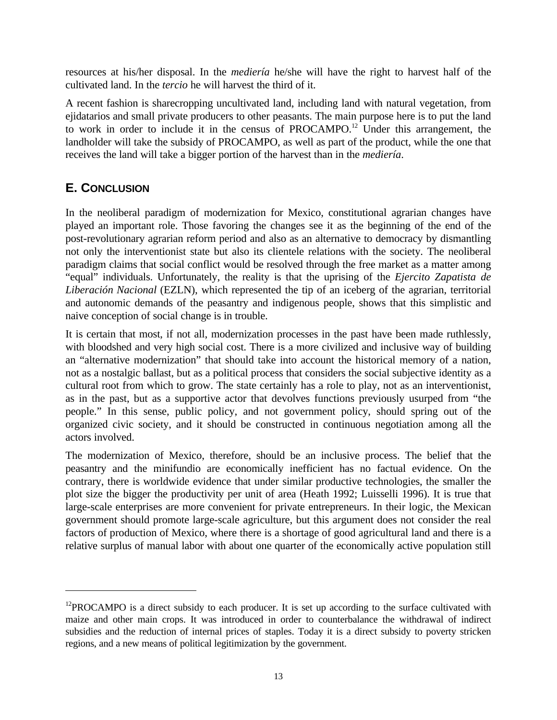resources at his/her disposal. In the *mediería* he/she will have the right to harvest half of the cultivated land. In the *tercio* he will harvest the third of it.

A recent fashion is sharecropping uncultivated land, including land with natural vegetation, from ejidatarios and small private producers to other peasants. The main purpose here is to put the land to work in order to include it in the census of PROCAMPO.<sup>12</sup> Under this arrangement, the landholder will take the subsidy of PROCAMPO, as well as part of the product, while the one that receives the land will take a bigger portion of the harvest than in the *mediería*.

#### **E. CONCLUSION**

 $\overline{a}$ 

In the neoliberal paradigm of modernization for Mexico, constitutional agrarian changes have played an important role. Those favoring the changes see it as the beginning of the end of the post-revolutionary agrarian reform period and also as an alternative to democracy by dismantling not only the interventionist state but also its clientele relations with the society. The neoliberal paradigm claims that social conflict would be resolved through the free market as a matter among "equal" individuals. Unfortunately, the reality is that the uprising of the *Ejercito Zapatista de Liberación Nacional* (EZLN), which represented the tip of an iceberg of the agrarian, territorial and autonomic demands of the peasantry and indigenous people, shows that this simplistic and naive conception of social change is in trouble.

It is certain that most, if not all, modernization processes in the past have been made ruthlessly, with bloodshed and very high social cost. There is a more civilized and inclusive way of building an "alternative modernization" that should take into account the historical memory of a nation, not as a nostalgic ballast, but as a political process that considers the social subjective identity as a cultural root from which to grow. The state certainly has a role to play, not as an interventionist, as in the past, but as a supportive actor that devolves functions previously usurped from "the people." In this sense, public policy, and not government policy, should spring out of the organized civic society, and it should be constructed in continuous negotiation among all the actors involved.

The modernization of Mexico, therefore, should be an inclusive process. The belief that the peasantry and the minifundio are economically inefficient has no factual evidence. On the contrary, there is worldwide evidence that under similar productive technologies, the smaller the plot size the bigger the productivity per unit of area (Heath 1992; Luisselli 1996). It is true that large-scale enterprises are more convenient for private entrepreneurs. In their logic, the Mexican government should promote large-scale agriculture, but this argument does not consider the real factors of production of Mexico, where there is a shortage of good agricultural land and there is a relative surplus of manual labor with about one quarter of the economically active population still

 $12$ PROCAMPO is a direct subsidy to each producer. It is set up according to the surface cultivated with maize and other main crops. It was introduced in order to counterbalance the withdrawal of indirect subsidies and the reduction of internal prices of staples. Today it is a direct subsidy to poverty stricken regions, and a new means of political legitimization by the government.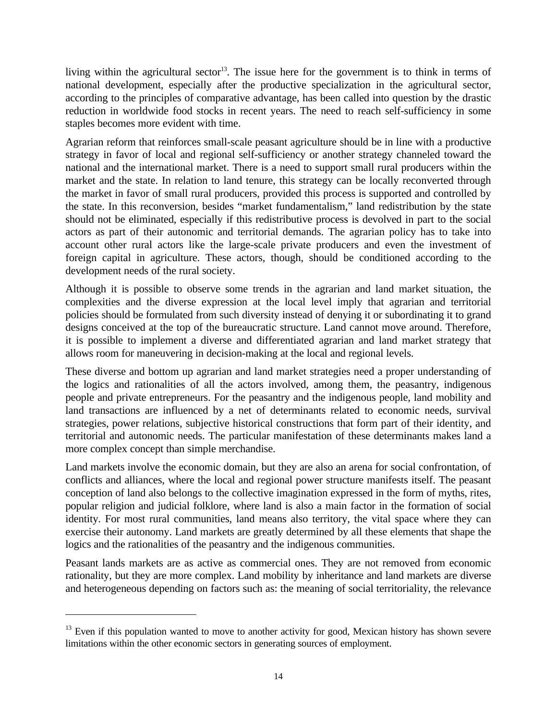living within the agricultural sector<sup>13</sup>. The issue here for the government is to think in terms of national development, especially after the productive specialization in the agricultural sector, according to the principles of comparative advantage, has been called into question by the drastic reduction in worldwide food stocks in recent years. The need to reach self-sufficiency in some staples becomes more evident with time.

Agrarian reform that reinforces small-scale peasant agriculture should be in line with a productive strategy in favor of local and regional self-sufficiency or another strategy channeled toward the national and the international market. There is a need to support small rural producers within the market and the state. In relation to land tenure, this strategy can be locally reconverted through the market in favor of small rural producers, provided this process is supported and controlled by the state. In this reconversion, besides "market fundamentalism," land redistribution by the state should not be eliminated, especially if this redistributive process is devolved in part to the social actors as part of their autonomic and territorial demands. The agrarian policy has to take into account other rural actors like the large-scale private producers and even the investment of foreign capital in agriculture. These actors, though, should be conditioned according to the development needs of the rural society.

Although it is possible to observe some trends in the agrarian and land market situation, the complexities and the diverse expression at the local level imply that agrarian and territorial policies should be formulated from such diversity instead of denying it or subordinating it to grand designs conceived at the top of the bureaucratic structure. Land cannot move around. Therefore, it is possible to implement a diverse and differentiated agrarian and land market strategy that allows room for maneuvering in decision-making at the local and regional levels.

These diverse and bottom up agrarian and land market strategies need a proper understanding of the logics and rationalities of all the actors involved, among them, the peasantry, indigenous people and private entrepreneurs. For the peasantry and the indigenous people, land mobility and land transactions are influenced by a net of determinants related to economic needs, survival strategies, power relations, subjective historical constructions that form part of their identity, and territorial and autonomic needs. The particular manifestation of these determinants makes land a more complex concept than simple merchandise.

Land markets involve the economic domain, but they are also an arena for social confrontation, of conflicts and alliances, where the local and regional power structure manifests itself. The peasant conception of land also belongs to the collective imagination expressed in the form of myths, rites, popular religion and judicial folklore, where land is also a main factor in the formation of social identity. For most rural communities, land means also territory, the vital space where they can exercise their autonomy. Land markets are greatly determined by all these elements that shape the logics and the rationalities of the peasantry and the indigenous communities.

Peasant lands markets are as active as commercial ones. They are not removed from economic rationality, but they are more complex. Land mobility by inheritance and land markets are diverse and heterogeneous depending on factors such as: the meaning of social territoriality, the relevance

 $\overline{a}$ 

 $13$  Even if this population wanted to move to another activity for good, Mexican history has shown severe limitations within the other economic sectors in generating sources of employment.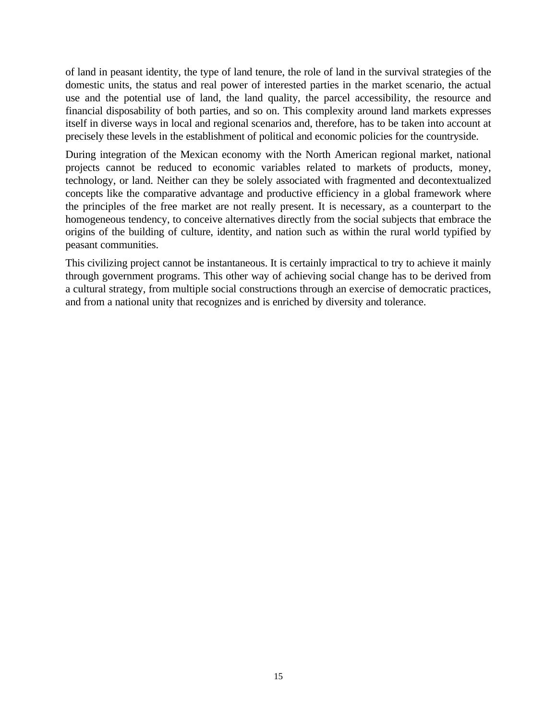of land in peasant identity, the type of land tenure, the role of land in the survival strategies of the domestic units, the status and real power of interested parties in the market scenario, the actual use and the potential use of land, the land quality, the parcel accessibility, the resource and financial disposability of both parties, and so on. This complexity around land markets expresses itself in diverse ways in local and regional scenarios and, therefore, has to be taken into account at precisely these levels in the establishment of political and economic policies for the countryside.

During integration of the Mexican economy with the North American regional market, national projects cannot be reduced to economic variables related to markets of products, money, technology, or land. Neither can they be solely associated with fragmented and decontextualized concepts like the comparative advantage and productive efficiency in a global framework where the principles of the free market are not really present. It is necessary, as a counterpart to the homogeneous tendency, to conceive alternatives directly from the social subjects that embrace the origins of the building of culture, identity, and nation such as within the rural world typified by peasant communities.

This civilizing project cannot be instantaneous. It is certainly impractical to try to achieve it mainly through government programs. This other way of achieving social change has to be derived from a cultural strategy, from multiple social constructions through an exercise of democratic practices, and from a national unity that recognizes and is enriched by diversity and tolerance.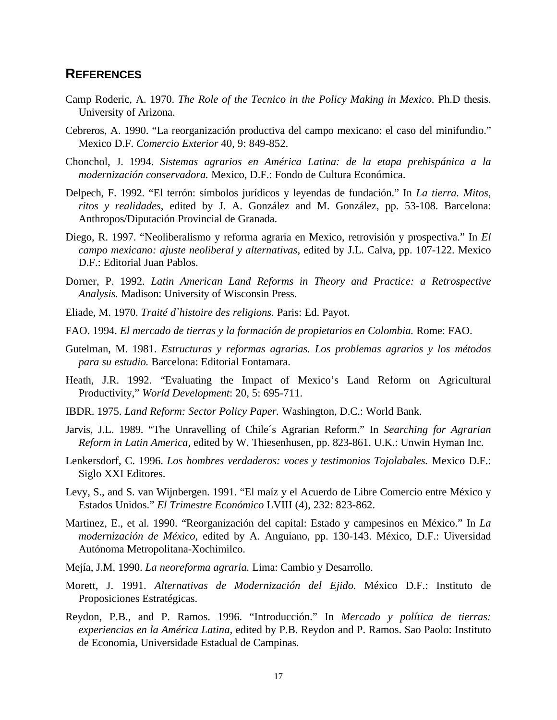#### **REFERENCES**

- Camp Roderic, A. 1970. *The Role of the Tecnico in the Policy Making in Mexico.* Ph.D thesis. University of Arizona.
- Cebreros, A. 1990. "La reorganización productiva del campo mexicano: el caso del minifundio." Mexico D.F. *Comercio Exterior* 40, 9: 849-852.
- Chonchol, J. 1994. *Sistemas agrarios en América Latina: de la etapa prehispánica a la modernización conservadora.* Mexico, D.F.: Fondo de Cultura Económica.
- Delpech, F. 1992. "El terrón: símbolos jurídicos y leyendas de fundación." In *La tierra. Mitos, ritos y realidades*, edited by J. A. González and M. González, pp. 53-108. Barcelona: Anthropos/Diputación Provincial de Granada.
- Diego, R. 1997. "Neoliberalismo y reforma agraria en Mexico, retrovisión y prospectiva." In *El campo mexicano: ajuste neoliberal y alternativas*, edited by J.L. Calva, pp. 107-122. Mexico D.F.: Editorial Juan Pablos.
- Dorner, P. 1992. *Latin American Land Reforms in Theory and Practice: a Retrospective Analysis.* Madison: University of Wisconsin Press.
- Eliade, M. 1970. *Traité d`histoire des religions.* Paris: Ed. Payot.
- FAO. 1994. *El mercado de tierras y la formación de propietarios en Colombia.* Rome: FAO.
- Gutelman, M. 1981. *Estructuras y reformas agrarias. Los problemas agrarios y los métodos para su estudio.* Barcelona: Editorial Fontamara.
- Heath, J.R. 1992. "Evaluating the Impact of Mexico's Land Reform on Agricultural Productivity," *World Development*: 20, 5: 695-711.
- IBDR. 1975. *Land Reform: Sector Policy Paper.* Washington, D.C.: World Bank.
- Jarvis, J.L. 1989. "The Unravelling of Chile´s Agrarian Reform." In *Searching for Agrarian Reform in Latin America,* edited by W. Thiesenhusen, pp. 823-861. U.K.: Unwin Hyman Inc.
- Lenkersdorf, C. 1996. *Los hombres verdaderos: voces y testimonios Tojolabales.* Mexico D.F.: Siglo XXI Editores.
- Levy, S., and S. van Wijnbergen. 1991. "El maíz y el Acuerdo de Libre Comercio entre México y Estados Unidos." *El Trimestre Económico* LVIII (4), 232: 823-862.
- Martinez, E., et al. 1990. "Reorganización del capital: Estado y campesinos en México." In *La modernización de México,* edited by A. Anguiano, pp. 130-143. México, D.F.: Uiversidad Autónoma Metropolitana-Xochimilco.
- Mejía, J.M. 1990. *La neoreforma agraria.* Lima: Cambio y Desarrollo.
- Morett, J. 1991. *Alternativas de Modernización del Ejido.* México D.F.: Instituto de Proposiciones Estratégicas.
- Reydon, P.B., and P. Ramos. 1996. "Introducción." In *Mercado y política de tierras: experiencias en la América Latina*, edited by P.B. Reydon and P. Ramos. Sao Paolo: Instituto de Economia, Universidade Estadual de Campinas.